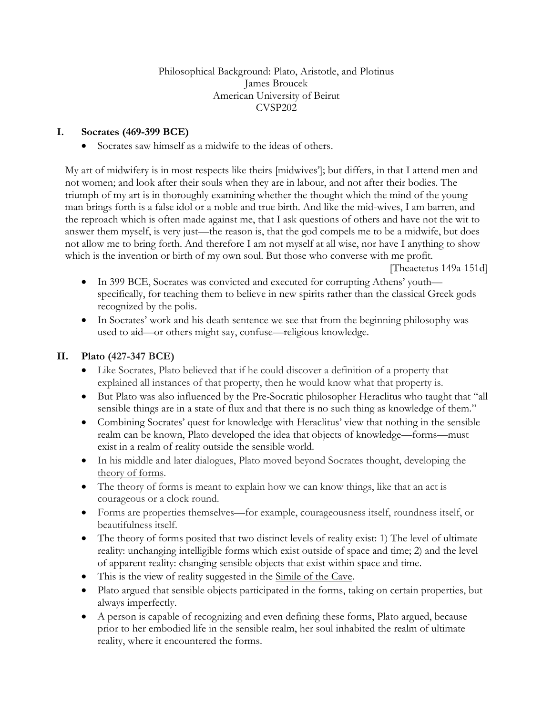#### Philosophical Background: Plato, Aristotle, and Plotinus James Broucek American University of Beirut CVSP202

# **I. Socrates (469-399 BCE)**

Socrates saw himself as a midwife to the ideas of others.

My art of midwifery is in most respects like theirs [midwives']; but differs, in that I attend men and not women; and look after their souls when they are in labour, and not after their bodies. The triumph of my art is in thoroughly examining whether the thought which the mind of the young man brings forth is a false idol or a noble and true birth. And like the mid-wives, I am barren, and the reproach which is often made against me, that I ask questions of others and have not the wit to answer them myself, is very just—the reason is, that the god compels me to be a midwife, but does not allow me to bring forth. And therefore I am not myself at all wise, nor have I anything to show which is the invention or birth of my own soul. But those who converse with me profit.

[Theaetetus 149a-151d]

- In 399 BCE, Socrates was convicted and executed for corrupting Athens' youth specifically, for teaching them to believe in new spirits rather than the classical Greek gods recognized by the polis.
- In Socrates' work and his death sentence we see that from the beginning philosophy was used to aid—or others might say, confuse—religious knowledge.

### **II. Plato (427-347 BCE)**

- Like Socrates, Plato believed that if he could discover a definition of a property that explained all instances of that property, then he would know what that property is.
- But Plato was also influenced by the Pre-Socratic philosopher Heraclitus who taught that "all sensible things are in a state of flux and that there is no such thing as knowledge of them."
- Combining Socrates' quest for knowledge with Heraclitus' view that nothing in the sensible realm can be known, Plato developed the idea that objects of knowledge—forms—must exist in a realm of reality outside the sensible world.
- In his middle and later dialogues, Plato moved beyond Socrates thought, developing the theory of forms.
- The theory of forms is meant to explain how we can know things, like that an act is courageous or a clock round.
- Forms are properties themselves—for example, courageousness itself, roundness itself, or beautifulness itself.
- The theory of forms posited that two distinct levels of reality exist: 1) The level of ultimate reality: unchanging intelligible forms which exist outside of space and time; 2) and the level of apparent reality: changing sensible objects that exist within space and time.
- This is the view of reality suggested in the Simile of the Cave.
- Plato argued that sensible objects participated in the forms, taking on certain properties, but always imperfectly.
- A person is capable of recognizing and even defining these forms, Plato argued, because prior to her embodied life in the sensible realm, her soul inhabited the realm of ultimate reality, where it encountered the forms.